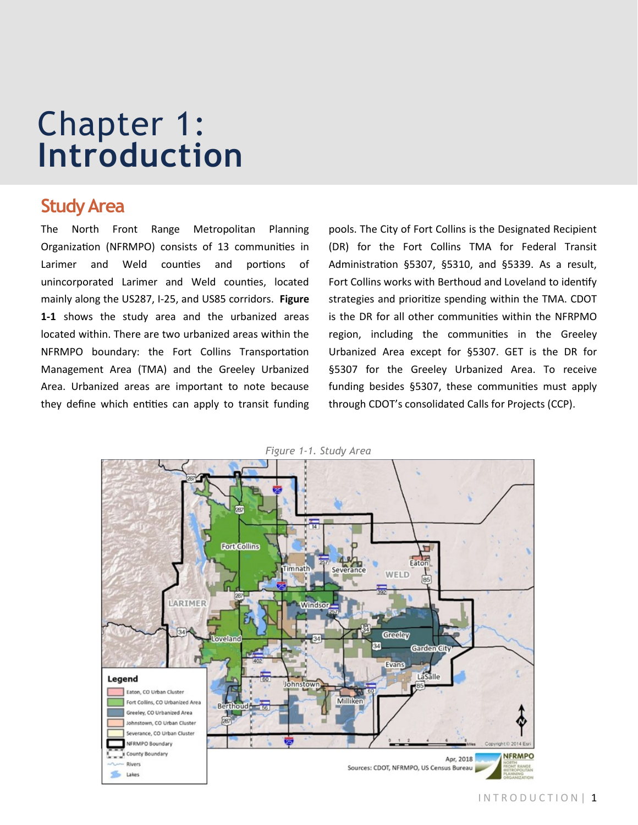# Chapter 1: **Introduction**

# **Study Area**

The North Front Range Metropolitan Planning Organization (NFRMPO) consists of 13 communities in Larimer and Weld counties and portions of unincorporated Larimer and Weld counties, located mainly along the US287, I-25, and US85 corridors. **Figure 1-1** shows the study area and the urbanized areas located within. There are two urbanized areas within the NFRMPO boundary: the Fort Collins Transportation Management Area (TMA) and the Greeley Urbanized Area. Urbanized areas are important to note because they define which entities can apply to transit funding

pools. The City of Fort Collins is the Designated Recipient (DR) for the Fort Collins TMA for Federal Transit Administration §5307, §5310, and §5339. As a result, Fort Collins works with Berthoud and Loveland to identify strategies and prioritize spending within the TMA. CDOT is the DR for all other communities within the NFRPMO region, including the communities in the Greeley Urbanized Area except for §5307. GET is the DR for §5307 for the Greeley Urbanized Area. To receive funding besides §5307, these communities must apply through CDOT's consolidated Calls for Projects (CCP).



*Figure 1-1. Study Area*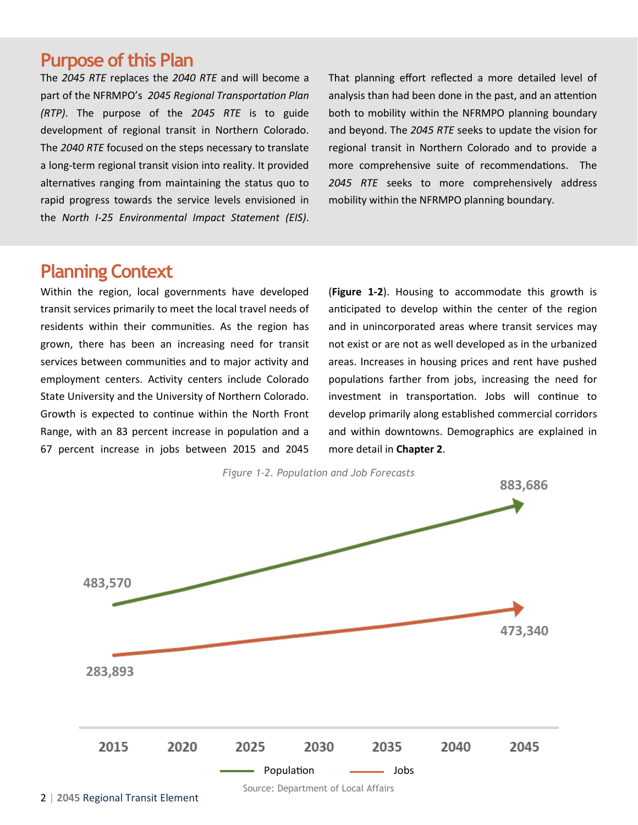# **Purpose of this Plan**

The *2045 RTE* replaces the *2040 RTE* and will become a part of the NFRMPO's *2045 Regional Transportation Plan (RTP)*. The purpose of the *2045 RTE* is to guide development of regional transit in Northern Colorado. The *2040 RTE* focused on the steps necessary to translate a long-term regional transit vision into reality. It provided alternatives ranging from maintaining the status quo to rapid progress towards the service levels envisioned in the *North I-25 Environmental Impact Statement (EIS)*.

That planning effort reflected a more detailed level of analysis than had been done in the past, and an attention both to mobility within the NFRMPO planning boundary and beyond. The *2045 RTE* seeks to update the vision for regional transit in Northern Colorado and to provide a more comprehensive suite of recommendations. The *2045 RTE* seeks to more comprehensively address mobility within the NFRMPO planning boundary.

# **Planning Context**

Within the region, local governments have developed transit services primarily to meet the local travel needs of residents within their communities. As the region has grown, there has been an increasing need for transit services between communities and to major activity and employment centers. Activity centers include Colorado State University and the University of Northern Colorado. Growth is expected to continue within the North Front Range, with an 83 percent increase in population and a 67 percent increase in jobs between 2015 and 2045

(**Figure 1-2**). Housing to accommodate this growth is anticipated to develop within the center of the region and in unincorporated areas where transit services may not exist or are not as well developed as in the urbanized areas. Increases in housing prices and rent have pushed populations farther from jobs, increasing the need for investment in transportation. Jobs will continue to develop primarily along established commercial corridors and within downtowns. Demographics are explained in more detail in **Chapter 2**.

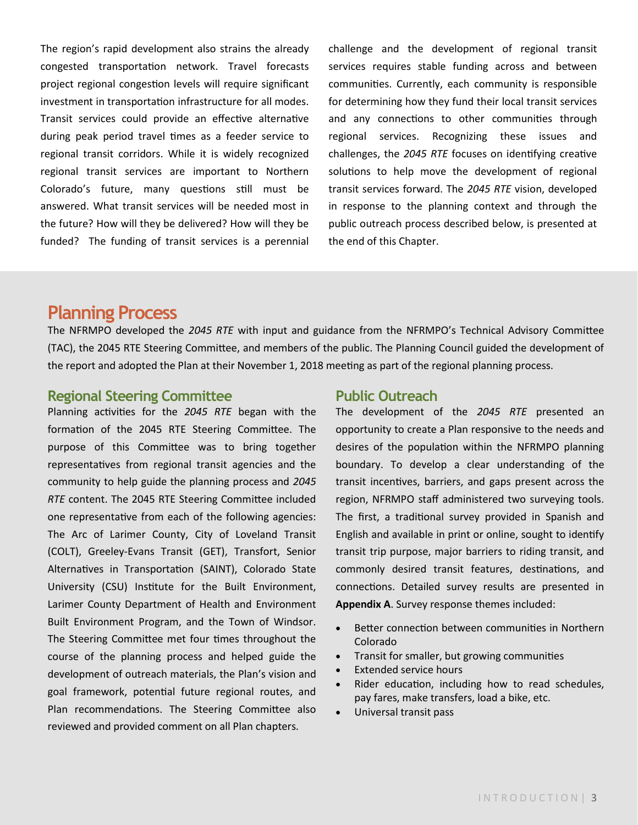The region's rapid development also strains the already congested transportation network. Travel forecasts project regional congestion levels will require significant investment in transportation infrastructure for all modes. Transit services could provide an effective alternative during peak period travel times as a feeder service to regional transit corridors. While it is widely recognized regional transit services are important to Northern Colorado's future, many questions still must be answered. What transit services will be needed most in the future? How will they be delivered? How will they be funded? The funding of transit services is a perennial

challenge and the development of regional transit services requires stable funding across and between communities. Currently, each community is responsible for determining how they fund their local transit services and any connections to other communities through regional services. Recognizing these issues and challenges, the *2045 RTE* focuses on identifying creative solutions to help move the development of regional transit services forward. The *2045 RTE* vision, developed in response to the planning context and through the public outreach process described below, is presented at the end of this Chapter.

## **Planning Process**

The NFRMPO developed the *2045 RTE* with input and guidance from the NFRMPO's Technical Advisory Committee (TAC), the 2045 RTE Steering Committee, and members of the public. The Planning Council guided the development of the report and adopted the Plan at their November 1, 2018 meeting as part of the regional planning process.

## **Regional Steering Committee**

Planning activities for the *2045 RTE* began with the formation of the 2045 RTE Steering Committee. The purpose of this Committee was to bring together representatives from regional transit agencies and the community to help guide the planning process and *2045 RTE* content. The 2045 RTE Steering Committee included one representative from each of the following agencies: The Arc of Larimer County, City of Loveland Transit (COLT), Greeley-Evans Transit (GET), Transfort, Senior Alternatives in Transportation (SAINT), Colorado State University (CSU) Institute for the Built Environment, Larimer County Department of Health and Environment Built Environment Program, and the Town of Windsor. The Steering Committee met four times throughout the course of the planning process and helped guide the development of outreach materials, the Plan's vision and goal framework, potential future regional routes, and Plan recommendations. The Steering Committee also reviewed and provided comment on all Plan chapters.

## **Public Outreach**

The development of the *2045 RTE* presented an opportunity to create a Plan responsive to the needs and desires of the population within the NFRMPO planning boundary. To develop a clear understanding of the transit incentives, barriers, and gaps present across the region, NFRMPO staff administered two surveying tools. The first, a traditional survey provided in Spanish and English and available in print or online, sought to identify transit trip purpose, major barriers to riding transit, and commonly desired transit features, destinations, and connections. Detailed survey results are presented in **Appendix A**. Survey response themes included:

- Better connection between communities in Northern Colorado
- Transit for smaller, but growing communities
- **Extended service hours**
- Rider education, including how to read schedules, pay fares, make transfers, load a bike, etc.
- Universal transit pass